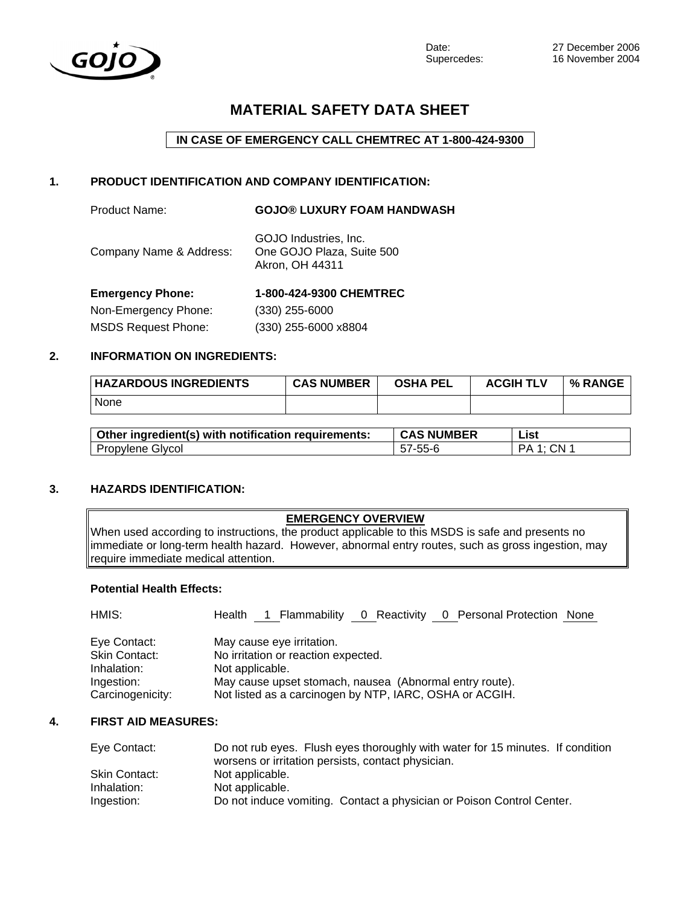

# **MATERIAL SAFETY DATA SHEET**

## **IN CASE OF EMERGENCY CALL CHEMTREC AT 1-800-424-9300**

## **1. PRODUCT IDENTIFICATION AND COMPANY IDENTIFICATION:**

| Company Name & Address: | GOJO Industries, Inc.<br>One GOJO Plaza, Suite 500 |
|-------------------------|----------------------------------------------------|
|                         | Akron, OH 44311                                    |

Product Name: **GOJO® LUXURY FOAM HANDWASH** 

| <b>Emergency Phone:</b>    | 1-800-424-9300 CHEMTREC |
|----------------------------|-------------------------|
| Non-Emergency Phone:       | $(330)$ 255-6000        |
| <b>MSDS Request Phone:</b> | (330) 255-6000 x8804    |

# **2. INFORMATION ON INGREDIENTS:**

| <b>HAZARDOUS INGREDIENTS</b> | <b>CAS NUMBER</b> | <b>OSHA PEL</b> | <b>ACGIH TLV</b> | <b>% RANGE</b> |
|------------------------------|-------------------|-----------------|------------------|----------------|
| None                         |                   |                 |                  |                |

| Other ingredient(s) with notification requirements: | <b>CAS NUMBER</b> | List              |
|-----------------------------------------------------|-------------------|-------------------|
| Propylene Glycol                                    | 57-55-6           | <b>PA 1: CN 1</b> |

## **3. HAZARDS IDENTIFICATION:**

### **EMERGENCY OVERVIEW**

When used according to instructions, the product applicable to this MSDS is safe and presents no immediate or long-term health hazard. However, abnormal entry routes, such as gross ingestion, may require immediate medical attention.

## **Potential Health Effects:**

| HMIS:                | Health 1 Flammability 0 Reactivity 0 Personal Protection None |
|----------------------|---------------------------------------------------------------|
| Eye Contact:         | May cause eye irritation.                                     |
| <b>Skin Contact:</b> | No irritation or reaction expected.                           |
| Inhalation:          | Not applicable.                                               |
| Ingestion:           | May cause upset stomach, nausea (Abnormal entry route).       |
| Carcinogenicity:     | Not listed as a carcinogen by NTP, IARC, OSHA or ACGIH.       |

#### **4. FIRST AID MEASURES:**

| Eye Contact:  | Do not rub eyes. Flush eyes thoroughly with water for 15 minutes. If condition |
|---------------|--------------------------------------------------------------------------------|
|               | worsens or irritation persists, contact physician.                             |
| Skin Contact: | Not applicable.                                                                |
| Inhalation:   | Not applicable.                                                                |
| Ingestion:    | Do not induce vomiting. Contact a physician or Poison Control Center.          |